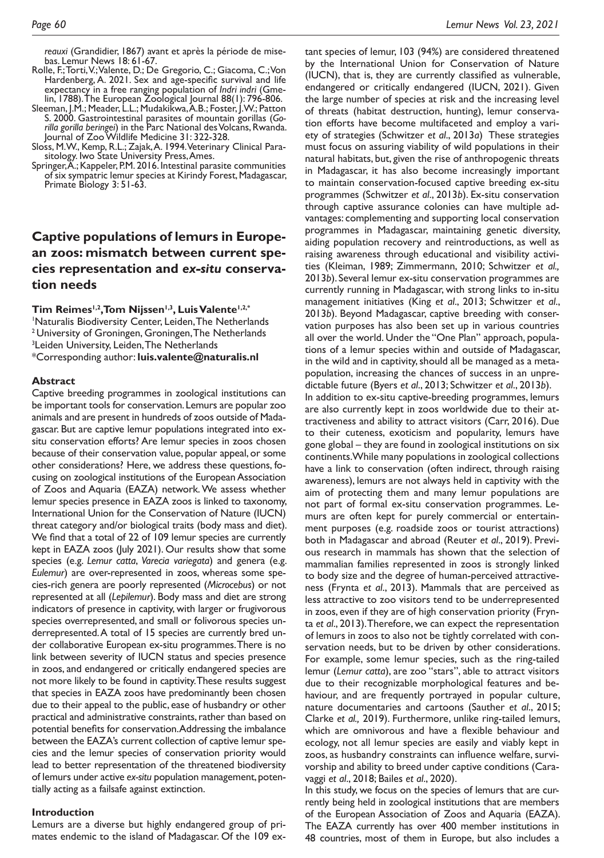*reauxi* (Grandidier, 1867) avant et après la période de misebas. Lemur News 18: 61-67.

- Rolle, F.; Torti, V.; Valente, D.; De Gregorio, C.; Giacoma, C.; Von Hardenberg, A. 2021. Sex and age-specifc survival and life expectancy in a free ranging population of *Indri indri* (Gme- lin, 1788). The European Zoological Journal 88(1): 796-806.
- Sleeman, J.M.; Meader, L.L.; Mudakikwa, A.B.; Foster, J.W.; Patton S. 2000. Gastrointestinal parasites of mountain gorillas (*Gorilla gorilla beringei*) in the Parc National des Volcans, Rwanda. Journal of Zoo Wildlife Medicine 31: 322-328.
- Sloss, M.W., Kemp, R.L.; Zajak, A. 1994. Veterinary Clinical Para- sitology. Iwo State University Press, Ames.
- sitology. Iwo State University Press, Ames.<br>Springer, A.; Kappeler, P.M. 2016. Intestinal parasite communities of six sympatric lemur species at Kirindy Forest, Madagascar, Primate Biology 3: 51-63.

# **Captive populations of lemurs in European zoos: mismatch between current species representation and** *ex-situ* **conservation needs**

Tim Reimes<sup>1,2</sup>, Tom Nijssen<sup>1,3</sup>, Luis Valente<sup>1,2,\*</sup> 1 Naturalis Biodiversity Center, Leiden, The Netherlands <sup>2</sup> University of Groningen, Groningen, The Netherlands 3 Leiden University, Leiden, The Netherlands \*Corresponding author: **[luis.valente@naturalis.nl](mailto:luis.valente@naturalis.nl)**

### **Abstract**

Captive breeding programmes in zoological institutions can be important tools for conservation. Lemurs are popular zoo animals and are present in hundreds of zoos outside of Madagascar. But are captive lemur populations integrated into exsitu conservation efforts? Are lemur species in zoos chosen because of their conservation value, popular appeal, or some other considerations? Here, we address these questions, focusing on zoological institutions of the European Association of Zoos and Aquaria (EAZA) network. We assess whether lemur species presence in EAZA zoos is linked to taxonomy, International Union for the Conservation of Nature (IUCN) threat category and/or biological traits (body mass and diet). We fnd that a total of 22 of 109 lemur species are currently kept in EAZA zoos (July 2021). Our results show that some species (e.g. *Lemur catta*, *Varecia variegata*) and genera (e.g. *Eulemur*) are over-represented in zoos, whereas some species-rich genera are poorly represented (*Microcebus*) or not represented at all (*Lepilemur*). Body mass and diet are strong indicators of presence in captivity, with larger or frugivorous species overrepresented, and small or folivorous species underrepresented. A total of 15 species are currently bred under collaborative European ex-situ programmes. There is no link between severity of IUCN status and species presence in zoos, and endangered or critically endangered species are not more likely to be found in captivity. These results suggest that species in EAZA zoos have predominantly been chosen due to their appeal to the public, ease of husbandry or other practical and administrative constraints, rather than based on potential benefts for conservation. Addressing the imbalance between the EAZA's current collection of captive lemur species and the lemur species of conservation priority would lead to better representation of the threatened biodiversity of lemurs under active *ex-situ* population management, potentially acting as a failsafe against extinction.

## **Introduction**

Lemurs are a diverse but highly endangered group of primates endemic to the island of Madagascar. Of the 109 ex-

tant species of lemur, 103 (94%) are considered threatened by the International Union for Conservation of Nature (IUCN), that is, they are currently classifed as vulnerable, endangered or critically endangered (IUCN, 2021). Given the large number of species at risk and the increasing level of threats (habitat destruction, hunting), lemur conservation efforts have become multifaceted and employ a variety of strategies (Schwitzer *et al*., 2013*a*) These strategies must focus on assuring viability of wild populations in their natural habitats, but, given the rise of anthropogenic threats in Madagascar, it has also become increasingly important to maintain conservation-focused captive breeding ex-situ programmes (Schwitzer *et al*., 2013*b*). Ex-situ conservation through captive assurance colonies can have multiple advantages: complementing and supporting local conservation programmes in Madagascar, maintaining genetic diversity, aiding population recovery and reintroductions, as well as raising awareness through educational and visibility activities (Kleiman, 1989; Zimmermann, 2010; Schwitzer *et al.,* 2013*b*). Several lemur ex-situ conservation programmes are currently running in Madagascar, with strong links to in-situ management initiatives (King *et al*., 2013; Schwitzer *et al*., 2013*b*). Beyond Madagascar, captive breeding with conservation purposes has also been set up in various countries all over the world. Under the "One Plan" approach, populations of a lemur species within and outside of Madagascar, in the wild and in captivity, should all be managed as a metapopulation, increasing the chances of success in an unpredictable future (Byers *et al*., 2013; Schwitzer *et al*., 2013*b*). In addition to ex-situ captive-breeding programmes, lemurs are also currently kept in zoos worldwide due to their attractiveness and ability to attract visitors (Carr, 2016). Due to their cuteness, exoticism and popularity, lemurs have gone global – they are found in zoological institutions on six continents. While many populations in zoological collections have a link to conservation (often indirect, through raising awareness), lemurs are not always held in captivity with the aim of protecting them and many lemur populations are not part of formal ex-situ conservation programmes. Lemurs are often kept for purely commercial or entertainment purposes (e.g. roadside zoos or tourist attractions) both in Madagascar and abroad (Reuter *et al*., 2019). Previous research in mammals has shown that the selection of mammalian families represented in zoos is strongly linked to body size and the degree of human-perceived attractiveness (Frynta *et al*., 2013). Mammals that are perceived as less attractive to zoo visitors tend to be underrepresented in zoos, even if they are of high conservation priority (Frynta *et al*., 2013). Therefore, we can expect the representation of lemurs in zoos to also not be tightly correlated with conservation needs, but to be driven by other considerations. For example, some lemur species, such as the ring-tailed lemur (*Lemur catta*), are zoo "stars", able to attract visitors due to their recognizable morphological features and behaviour, and are frequently portrayed in popular culture, nature documentaries and cartoons (Sauther *et al*., 2015; Clarke *et al.,* 2019). Furthermore, unlike ring-tailed lemurs, which are omnivorous and have a flexible behaviour and ecology, not all lemur species are easily and viably kept in zoos, as husbandry constraints can infuence welfare, survivorship and ability to breed under captive conditions (Caravaggi *et al*., 2018; Bailes *et al*., 2020).

In this study, we focus on the species of lemurs that are currently being held in zoological institutions that are members of the European Association of Zoos and Aquaria (EAZA). The EAZA currently has over 400 member institutions in 48 countries, most of them in Europe, but also includes a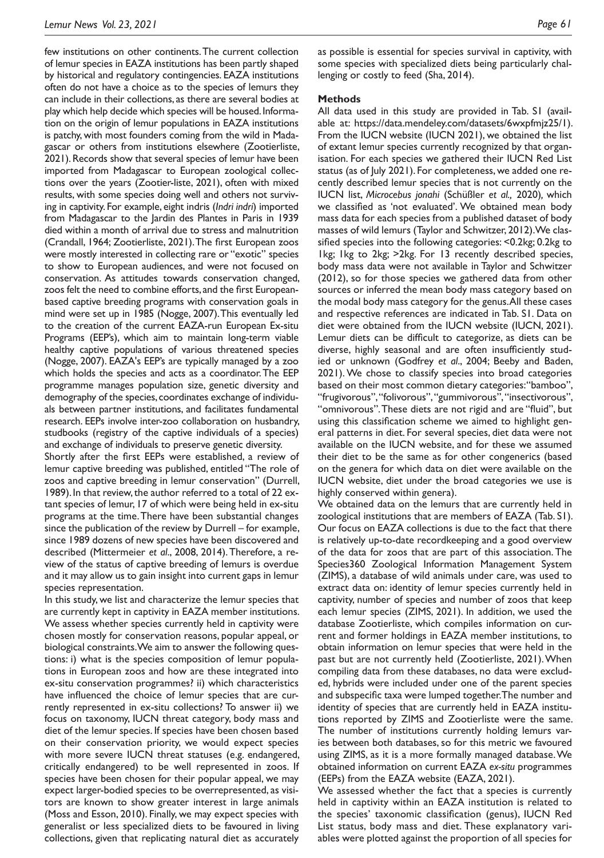few institutions on other continents. The current collection of lemur species in EAZA institutions has been partly shaped by historical and regulatory contingencies. EAZA institutions often do not have a choice as to the species of lemurs they can include in their collections, as there are several bodies at play which help decide which species will be housed. Information on the origin of lemur populations in EAZA institutions is patchy, with most founders coming from the wild in Madagascar or others from institutions elsewhere (Zootierliste, 2021). Records show that several species of lemur have been imported from Madagascar to European zoological collections over the years (Zootier-liste, 2021), often with mixed results, with some species doing well and others not surviving in captivity. For example, eight indris (*Indri indri*) imported from Madagascar to the Jardin des Plantes in Paris in 1939 died within a month of arrival due to stress and malnutrition (Crandall, 1964; Zootierliste, 2021). The frst European zoos were mostly interested in collecting rare or "exotic" species to show to European audiences, and were not focused on conservation. As attitudes towards conservation changed, zoos felt the need to combine efforts, and the first Europeanbased captive breeding programs with conservation goals in mind were set up in 1985 (Nogge, 2007). This eventually led to the creation of the current EAZA-run European Ex-situ Programs (EEP's), which aim to maintain long-term viable healthy captive populations of various threatened species (Nogge, 2007). EAZA's EEP's are typically managed by a zoo which holds the species and acts as a coordinator. The EEP programme manages population size, genetic diversity and demography of the species, coordinates exchange of individuals between partner institutions, and facilitates fundamental research. EEPs involve inter-zoo collaboration on husbandry, studbooks (registry of the captive individuals of a species) and exchange of individuals to preserve genetic diversity.

Shortly after the frst EEPs were established, a review of lemur captive breeding was published, entitled "The role of zoos and captive breeding in lemur conservation" (Durrell, 1989). In that review, the author referred to a total of 22 extant species of lemur, 17 of which were being held in ex-situ programs at the time. There have been substantial changes since the publication of the review by Durrell – for example, since 1989 dozens of new species have been discovered and described (Mittermeier *et al*., 2008, 2014). Therefore, a review of the status of captive breeding of lemurs is overdue and it may allow us to gain insight into current gaps in lemur species representation.

In this study, we list and characterize the lemur species that are currently kept in captivity in EAZA member institutions. We assess whether species currently held in captivity were chosen mostly for conservation reasons, popular appeal, or biological constraints. We aim to answer the following questions: i) what is the species composition of lemur populations in European zoos and how are these integrated into ex-situ conservation programmes? ii) which characteristics have infuenced the choice of lemur species that are currently represented in ex-situ collections? To answer ii) we focus on taxonomy, IUCN threat category, body mass and diet of the lemur species. If species have been chosen based on their conservation priority, we would expect species with more severe IUCN threat statuses (e.g. endangered, critically endangered) to be well represented in zoos. If species have been chosen for their popular appeal, we may expect larger-bodied species to be overrepresented, as visitors are known to show greater interest in large animals (Moss and Esson, 2010). Finally, we may expect species with generalist or less specialized diets to be favoured in living collections, given that replicating natural diet as accurately

as possible is essential for species survival in captivity, with some species with specialized diets being particularly challenging or costly to feed (Sha, 2014).

## **Methods**

All data used in this study are provided in Tab. S1 (available at: https://data.mendeley.com/datasets/6wxpfmjz25/1). From the IUCN website (IUCN 2021), we obtained the list of extant lemur species currently recognized by that organisation. For each species we gathered their IUCN Red List status (as of July 2021). For completeness, we added one recently described lemur species that is not currently on the IUCN list, *Microcebus jonahi* (Schüßler *et al.,* 2020)*,* which we classifed as 'not evaluated'. We obtained mean body mass data for each species from a published dataset of body masses of wild lemurs (Taylor and Schwitzer, 2012). We classifed species into the following categories: <0.2kg; 0.2kg to 1kg; 1kg to 2kg; >2kg. For 13 recently described species, body mass data were not available in Taylor and Schwitzer (2012), so for those species we gathered data from other sources or inferred the mean body mass category based on the modal body mass category for the genus. All these cases and respective references are indicated in Tab. S1. Data on diet were obtained from the IUCN website (IUCN, 2021). Lemur diets can be difficult to categorize, as diets can be diverse, highly seasonal and are often insufficiently studied or unknown (Godfrey *et al*., 2004; Beeby and Baden, 2021). We chose to classify species into broad categories based on their most common dietary categories: "bamboo", "frugivorous", "folivorous", "gummivorous", "insectivorous", "omnivorous". These diets are not rigid and are "fuid", but using this classifcation scheme we aimed to highlight general patterns in diet. For several species, diet data were not available on the IUCN website, and for these we assumed their diet to be the same as for other congenerics (based on the genera for which data on diet were available on the IUCN website, diet under the broad categories we use is highly conserved within genera).

We obtained data on the lemurs that are currently held in zoological institutions that are members of EAZA (Tab. S1). Our focus on EAZA collections is due to the fact that there is relatively up-to-date recordkeeping and a good overview of the data for zoos that are part of this association. The Species360 Zoological Information Management System (ZIMS), a database of wild animals under care, was used to extract data on: identity of lemur species currently held in captivity, number of species and number of zoos that keep each lemur species (ZIMS, 2021). In addition, we used the database Zootierliste, which compiles information on current and former holdings in EAZA member institutions, to obtain information on lemur species that were held in the past but are not currently held (Zootierliste, 2021). When compiling data from these databases, no data were excluded, hybrids were included under one of the parent species and subspecifc taxa were lumped together. The number and identity of species that are currently held in EAZA institutions reported by ZIMS and Zootierliste were the same. The number of institutions currently holding lemurs varies between both databases, so for this metric we favoured using ZIMS, as it is a more formally managed database. We obtained information on current EAZA *ex-situ* programmes (EEPs) from the EAZA website (EAZA, 2021).

We assessed whether the fact that a species is currently held in captivity within an EAZA institution is related to the species' taxonomic classifcation (genus), IUCN Red List status, body mass and diet. These explanatory variables were plotted against the proportion of all species for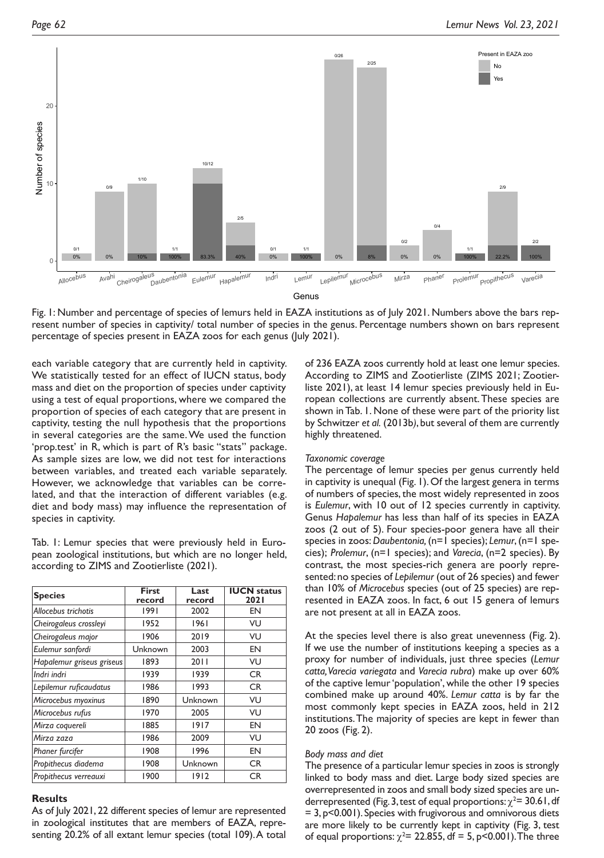

Fig. 1: Number and percentage of species of lemurs held in EAZA institutions as of July 2021. Numbers above the bars represent number of species in captivity/ total number of species in the genus. Percentage numbers shown on bars represent percentage of species present in EAZA zoos for each genus (July 2021).

each variable category that are currently held in captivity. We statistically tested for an effect of IUCN status, body mass and diet on the proportion of species under captivity using a test of equal proportions, where we compared the proportion of species of each category that are present in captivity, testing the null hypothesis that the proportions in several categories are the same. We used the function 'prop.test' in R, which is part of R's basic "stats" package. As sample sizes are low, we did not test for interactions between variables, and treated each variable separately. However, we acknowledge that variables can be correlated, and that the interaction of different variables (e.g. diet and body mass) may infuence the representation of species in captivity.

Tab. 1: Lemur species that were previously held in European zoological institutions, but which are no longer held, according to ZIMS and Zootierliste (2021).

| <b>Species</b>            | <b>First</b><br>record | Last<br>record | <b>IUCN status</b><br><b>2021</b> |
|---------------------------|------------------------|----------------|-----------------------------------|
| Allocebus trichotis       | 1991                   | 2002           | EN                                |
| Cheirogaleus crossleyi    | 1952                   | 1961           | VU                                |
| Cheirogaleus major        | 1906                   | 2019           | VU                                |
| Eulemur sanfordi          | Unknown                | 2003           | EN                                |
| Hapalemur griseus griseus | 1893                   | 2011           | VU                                |
| Indri indri               | 1939                   | 1939           | <b>CR</b>                         |
| Lepilemur ruficaudatus    | 1986                   | 1993           | <b>CR</b>                         |
| Microcebus myoxinus       | 1890                   | Unknown        | VU                                |
| Microcebus rufus          | 1970                   | 2005           | VU                                |
| Mirza coquereli           | 1885                   | 1917           | EN                                |
| Mirza zaza                | 1986                   | 2009           | VU                                |
| Phaner furcifer           | 1908                   | 1996           | EN                                |
| Propithecus diadema       | 1908                   | Unknown        | <b>CR</b>                         |
| Propithecus verreauxi     | 1900                   | 1912           | CR.                               |

## **Results**

As of July 2021, 22 different species of lemur are represented in zoological institutes that are members of EAZA, representing 20.2% of all extant lemur species (total 109). A total of 236 EAZA zoos currently hold at least one lemur species. According to ZIMS and Zootierliste (ZIMS 2021; Zootierliste 2021), at least 14 lemur species previously held in European collections are currently absent. These species are shown in Tab. 1. None of these were part of the priority list by Schwitzer *et al.* (2013b*)*, but several of them are currently highly threatened.

## *Taxonomic coverage*

The percentage of lemur species per genus currently held in captivity is unequal (Fig. 1). Of the largest genera in terms of numbers of species, the most widely represented in zoos is *Eulemur*, with 10 out of 12 species currently in captivity. Genus *Hapalemur* has less than half of its species in EAZA zoos (2 out of 5). Four species-poor genera have all their species in zoos: *Daubentonia,* (n=1 species); *Lemur*, (n=1 species); *Prolemur*, (n=1 species); and *Varecia*, (n=2 species). By contrast, the most species-rich genera are poorly represented: no species of *Lepilemur* (out of 26 species) and fewer than 10% of *Microcebus* species (out of 25 species) are represented in EAZA zoos. In fact, 6 out 15 genera of lemurs are not present at all in EAZA zoos.

At the species level there is also great unevenness (Fig. 2). If we use the number of institutions keeping a species as a proxy for number of individuals, just three species (*Lemur catta, Varecia variegata* and *Varecia rubra*) make up over 60% of the captive lemur 'population', while the other 19 species combined make up around 40%. *Lemur catta* is by far the most commonly kept species in EAZA zoos, held in 212 institutions. The majority of species are kept in fewer than 20 zoos (Fig. 2).

## *Body mass and diet*

The presence of a particular lemur species in zoos is strongly linked to body mass and diet. Large body sized species are overrepresented in zoos and small body sized species are underrepresented (Fig. 3, test of equal proportions:  $\chi^2$  = 30.61, df  $= 3$ ,  $p < 0.001$ ). Species with frugivorous and omnivorous diets are more likely to be currently kept in captivity (Fig. 3, test of equal proportions:  $\chi^2$  = 22.855, df = 5, p<0.001). The three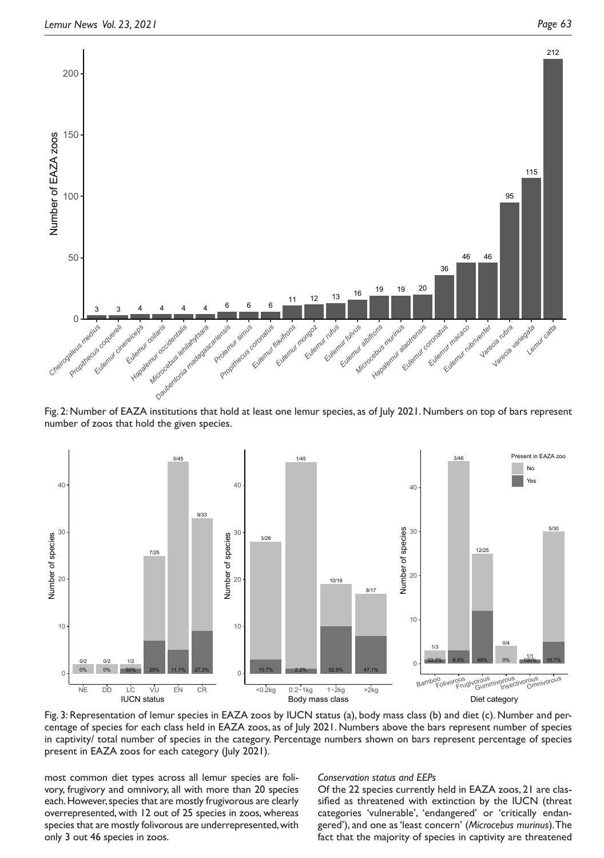

Fig. 2: Number of EAZA institutions that hold at least one lemur species, as of July 2021. Numbers on top of bars represent number of zoos that hold the given species.



Fig. 3: Representation of lemur species in EAZA zoos by IUCN status (a), body mass class (b) and diet (c). Number and percentage of species for each class held in EAZA zoos, as of July 2021. Numbers above the bars represent number of species in captivity/ total number of species in the category. Percentage numbers shown on bars represent percentage of species present in EAZA zoos for each category (July 2021).

most common diet types across all lemur species are folivory, frugivory and omnivory, all with more than 20 species each. However, species that are mostly frugivorous are clearly overrepresented, with 12 out of 25 species in zoos, whereas species that are mostly folivorous are underrepresented, with only 3 out 46 species in zoos.

#### *Conservation status and EEPs*

Of the 22 species currently held in EAZA zoos, 21 are classifed as threatened with extinction by the IUCN (threat categories 'vulnerable', 'endangered' or 'critically endangered'), and one as 'least concern' (*Microcebus murinus*). The fact that the majority of species in captivity are threatened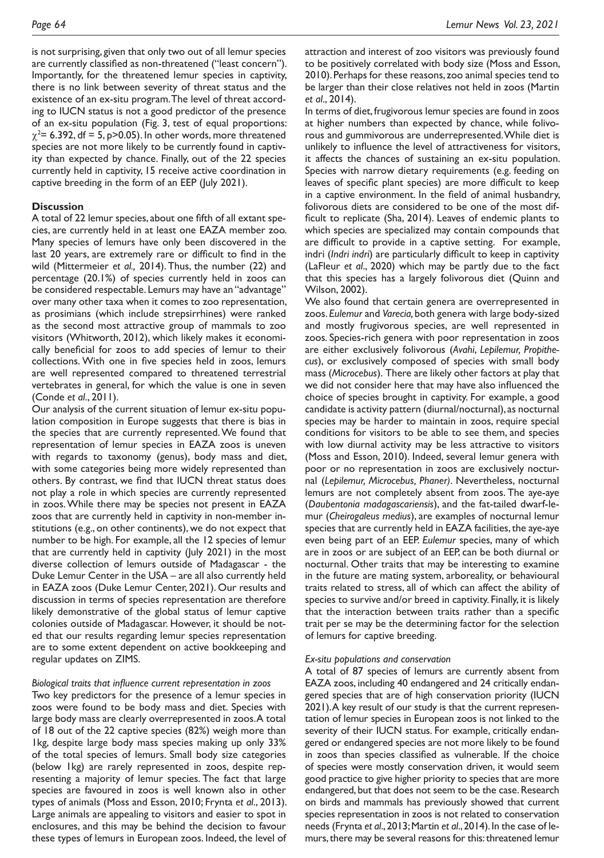is not surprising, given that only two out of all lemur species are currently classifed as non-threatened ("least concern"). Importantly, for the threatened lemur species in captivity, there is no link between severity of threat status and the existence of an ex-situ program.The level of threat according to IUCN status is not a good predictor of the presence of an ex-situ population (Fig. 3, test of equal proportions:  $\chi^2$ = 6.392, df = 5, p>0.05). In other words, more threatened species are not more likely to be currently found in captivity than expected by chance. Finally, out of the 22 species currently held in captivity, 15 receive active coordination in captive breeding in the form of an EEP (July 2021).

## **Discussion**

A total of 22 lemur species, about one ffth of all extant species, are currently held in at least one EAZA member zoo. Many species of lemurs have only been discovered in the last 20 years, are extremely rare or difficult to find in the wild (Mittermeier *et al.,* 2014). Thus, the number (22) and percentage (20.1%) of species currently held in zoos can be considered respectable. Lemurs may have an "advantage" over many other taxa when it comes to zoo representation, as prosimians (which include strepsirrhines) were ranked as the second most attractive group of mammals to zoo visitors (Whitworth, 2012), which likely makes it economically benefcial for zoos to add species of lemur to their collections. With one in fve species held in zoos, lemurs are well represented compared to threatened terrestrial vertebrates in general, for which the value is one in seven (Conde *et al*., 2011).

Our analysis of the current situation of lemur ex-situ population composition in Europe suggests that there is bias in the species that are currently represented. We found that representation of lemur species in EAZA zoos is uneven with regards to taxonomy (genus), body mass and diet, with some categories being more widely represented than others. By contrast, we fnd that IUCN threat status does not play a role in which species are currently represented in zoos. While there may be species not present in EAZA zoos that are currently held in captivity in non-member institutions (e.g., on other continents), we do not expect that number to be high. For example, all the 12 species of lemur that are currently held in captivity (July 2021) in the most diverse collection of lemurs outside of Madagascar - the Duke Lemur Center in the USA – are all also currently held in EAZA zoos (Duke Lemur Center, 2021). Our results and discussion in terms of species representation are therefore likely demonstrative of the global status of lemur captive colonies outside of Madagascar. However, it should be noted that our results regarding lemur species representation are to some extent dependent on active bookkeeping and regular updates on ZIMS.

## *Biological traits that infuence current representation in zoos*

Two key predictors for the presence of a lemur species in zoos were found to be body mass and diet. Species with large body mass are clearly overrepresented in zoos. A total of 18 out of the 22 captive species (82%) weigh more than 1kg, despite large body mass species making up only 33% of the total species of lemurs. Small body size categories (below 1kg) are rarely represented in zoos, despite representing a majority of lemur species. The fact that large species are favoured in zoos is well known also in other types of animals (Moss and Esson, 2010; Frynta *et al*., 2013). Large animals are appealing to visitors and easier to spot in enclosures, and this may be behind the decision to favour these types of lemurs in European zoos. Indeed, the level of attraction and interest of zoo visitors was previously found to be positively correlated with body size (Moss and Esson, 2010). Perhaps for these reasons, zoo animal species tend to be larger than their close relatives not held in zoos (Martin *et al*., 2014).

In terms of diet, frugivorous lemur species are found in zoos at higher numbers than expected by chance, while folivorous and gummivorous are underrepresented. While diet is unlikely to infuence the level of attractiveness for visitors, it affects the chances of sustaining an ex-situ population. Species with narrow dietary requirements (e.g. feeding on leaves of specific plant species) are more difficult to keep in a captive environment. In the feld of animal husbandry, folivorous diets are considered to be one of the most diffcult to replicate (Sha, 2014). Leaves of endemic plants to which species are specialized may contain compounds that are diffcult to provide in a captive setting. For example, indri (*Indri indri*) are particularly difficult to keep in captivity (LaFleur *et al*., 2020) which may be partly due to the fact that this species has a largely folivorous diet (Quinn and Wilson, 2002).

We also found that certain genera are overrepresented in zoos. *Eulemur* and *Varecia,* both genera with large body-sized and mostly frugivorous species, are well represented in zoos*.* Species-rich genera with poor representation in zoos are either exclusively folivorous (*Avahi*, *Lepilemur, Propithecus*), or exclusively composed of species with small body mass (*Microcebus*). There are likely other factors at play that we did not consider here that may have also infuenced the choice of species brought in captivity. For example, a good candidate is activity pattern (diurnal/nocturnal), as nocturnal species may be harder to maintain in zoos, require special conditions for visitors to be able to see them, and species with low diurnal activity may be less attractive to visitors (Moss and Esson, 2010). Indeed, several lemur genera with poor or no representation in zoos are exclusively nocturnal (*Lepilemur, Microcebus, Phaner)*. Nevertheless, nocturnal lemurs are not completely absent from zoos. The aye-aye (*Daubentonia madagascariensis*), and the fat-tailed dwarf-lemur (*Cheirogaleus medius*), are examples of nocturnal lemur species that are currently held in EAZA facilities, the aye-aye even being part of an EEP. *Eulemur* species, many of which are in zoos or are subject of an EEP, can be both diurnal or nocturnal. Other traits that may be interesting to examine in the future are mating system, arboreality, or behavioural traits related to stress, all of which can affect the ability of species to survive and/or breed in captivity. Finally, it is likely that the interaction between traits rather than a specifc trait per se may be the determining factor for the selection of lemurs for captive breeding.

#### *Ex-situ populations and conservation*

A total of 87 species of lemurs are currently absent from EAZA zoos, including 40 endangered and 24 critically endangered species that are of high conservation priority (IUCN 2021). A key result of our study is that the current representation of lemur species in European zoos is not linked to the severity of their IUCN status. For example, critically endangered or endangered species are not more likely to be found in zoos than species classifed as vulnerable. If the choice of species were mostly conservation driven, it would seem good practice to give higher priority to species that are more endangered, but that does not seem to be the case. Research on birds and mammals has previously showed that current species representation in zoos is not related to conservation needs (Frynta *et al*., 2013; Martin *et al*., 2014). In the case of lemurs, there may be several reasons for this: threatened lemur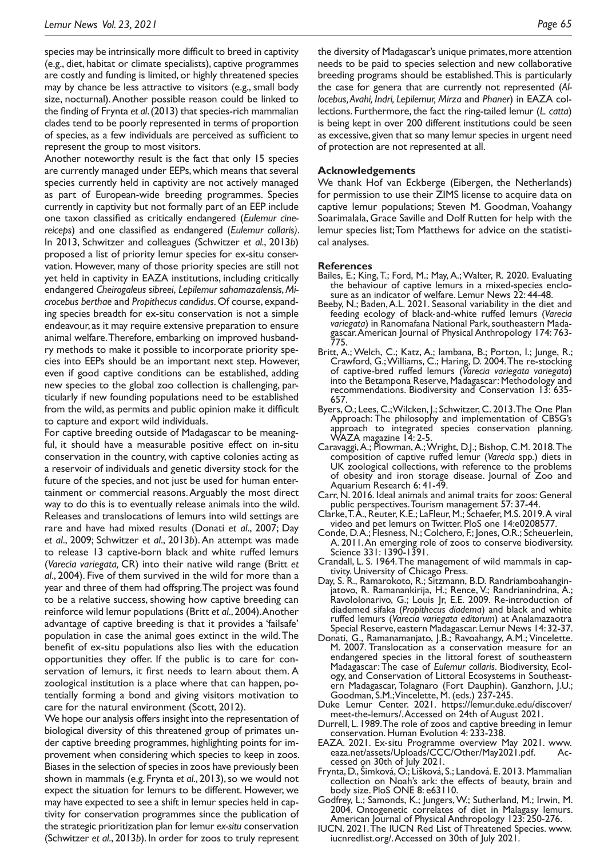species may be intrinsically more difficult to breed in captivity (e.g., diet, habitat or climate specialists), captive programmes are costly and funding is limited, or highly threatened species may by chance be less attractive to visitors (e.g., small body size, nocturnal). Another possible reason could be linked to the fnding of Frynta *et al*. (2013) that species-rich mammalian clades tend to be poorly represented in terms of proportion of species, as a few individuals are perceived as suffcient to represent the group to most visitors.

Another noteworthy result is the fact that only 15 species are currently managed under EEPs, which means that several species currently held in captivity are not actively managed as part of European-wide breeding programmes. Species currently in captivity but not formally part of an EEP include one taxon classifed as critically endangered (*Eulemur cinereiceps*) and one classifed as endangered (*Eulemur collaris)*. In 2013, Schwitzer and colleagues (Schwitzer *et al.*, 2013*b*) proposed a list of priority lemur species for ex-situ conservation. However, many of those priority species are still not yet held in captivity in EAZA institutions, including critically endangered *Cheirogaleus sibreei*, *Lepilemur sahamazalensis*, *Microcebus berthae* and *Propithecus candidus*. Of course, expanding species breadth for ex-situ conservation is not a simple endeavour, as it may require extensive preparation to ensure animal welfare. Therefore, embarking on improved husbandry methods to make it possible to incorporate priority species into EEPs should be an important next step. However, even if good captive conditions can be established, adding new species to the global zoo collection is challenging, particularly if new founding populations need to be established from the wild, as permits and public opinion make it difficult to capture and export wild individuals.

For captive breeding outside of Madagascar to be meaningful, it should have a measurable positive effect on in-situ conservation in the country, with captive colonies acting as a reservoir of individuals and genetic diversity stock for the future of the species, and not just be used for human entertainment or commercial reasons. Arguably the most direct way to do this is to eventually release animals into the wild. Releases and translocations of lemurs into wild settings are rare and have had mixed results (Donati *et al*., 2007; Day *et al*., 2009; Schwitzer *et al*., 2013*b*). An attempt was made to release 13 captive-born black and white ruffed lemurs (*Varecia variegata,* CR) into their native wild range (Britt *et al*., 2004). Five of them survived in the wild for more than a year and three of them had offspring. The project was found to be a relative success, showing how captive breeding can reinforce wild lemur populations (Britt *et al*., 2004). Another advantage of captive breeding is that it provides a 'failsafe' population in case the animal goes extinct in the wild. The beneft of ex-situ populations also lies with the education opportunities they offer. If the public is to care for conservation of lemurs, it first needs to learn about them. A zoological institution is a place where that can happen, potentially forming a bond and giving visitors motivation to care for the natural environment (Scott, 2012).

We hope our analysis offers insight into the representation of biological diversity of this threatened group of primates under captive breeding programmes, highlighting points for improvement when considering which species to keep in zoos. Biases in the selection of species in zoos have previously been shown in mammals (e.g. Frynta *et al*., 2013), so we would not expect the situation for lemurs to be different. However, we may have expected to see a shift in lemur species held in captivity for conservation programmes since the publication of the strategic prioritization plan for lemur *ex-situ* conservation (Schwitzer *et al*., 2013*b*). In order for zoos to truly represent

the diversity of Madagascar's unique primates, more attention needs to be paid to species selection and new collaborative breeding programs should be established. This is particularly the case for genera that are currently not represented (*Allocebus, Avahi, Indri, Lepilemur, Mirza* and *Phaner*) in EAZA collections. Furthermore, the fact the ring-tailed lemur (*L. catta*) is being kept in over 200 different institutions could be seen as excessive, given that so many lemur species in urgent need of protection are not represented at all.

### **Acknowledgements**

We thank Hof van Eckberge (Eibergen, the Netherlands) for permission to use their ZIMS license to acquire data on captive lemur populations; Steven M. Goodman, Voahangy Soarimalala, Grace Saville and Dolf Rutten for help with the lemur species list; Tom Matthews for advice on the statistical analyses.

#### **References**

- Bailes, E.; King, T.; Ford, M.; May, A.; Walter, R. 2020. Evaluating the behaviour of captive lemurs in a mixed-species enclosure as an indicator of welfare. Lemur News 22: 44-48.
- Beeby, N.; Baden, A.L. 2021. Seasonal variability in the diet and feeding ecology of black-and-white ruffed lemurs (*Varecia variegata*) in Ranomafana National Park, southeastern Mada- gascar. American Journal of Physical Anthropology 174: 763- 775.
- Britt, A.; Welch, C.; Katz, A.; Iambana, B.; Porton, I.; Junge, R.; Crawford, G.; Williams, C.; Haring, D. 2004. The re-stocking of captive-bred ruffed lemurs (*Varecia variegata variegata*) into the Betampona Reserve, Madagascar: Methodology and recommendations. Biodiversity and Conservation 13: 635- 657.
- Byers, O.; Lees, C.; Wilcken, J.; Schwitzer, C. 2013. The One Plan Approach: The philosophy and implementation of CBSG's approach to integrated species conservation planning. WAZA magazine 14: 2-5.
- Caravaggi, A.; Plowman, A.; Wright, D.J.; Bishop, C.M. 2018. The composition of captive ruffed lemur (*Varecia* spp.) diets in UK zoological collections, with reference to the problems of obesity and iron storage disease. Journal of Zoo and Aquarium Research 6: 41-49.
- Carr, N. 2016. Ideal animals and animal traits for zoos: General public perspectives. Tourism management 57: 37-44.
- Clarke, T. A., Reuter, K.E.; LaFleur, M.; Schaefer, M.S. 2019. A viral video and pet lemurs on Twitter. PloS one 14:e0208577.
- Conde, D. A.; Flesness, N.; Colchero, F.; Jones, O.R.; Scheuerlein, A. 2011. An emerging role of zoos to conserve biodiversity. Science 331: 1390-1391.
- Crandall, L. S. 1964. The management of wild mammals in cap- tivity. University of Chicago Press.
- Day, S. R., Ramarokoto, R.; Sitzmann, B.D. Randriamboahangin- jatovo, R. Ramanankirija, H.; Rence, V.; Randrianindrina, A.; Ravololonarivo, G.; Louis Jr, E.E. 2009. Re-introduction of diademed sifaka (*Propithecus diadema*) and black and white ruffed lemurs (*Varecia variegata editorum*) at Analamazaotra Special Reserve, eastern Madagascar. Lemur News 14: 32-37.
- Donati, G., Ramanamanjato, J.B.; Ravoahangy, A.M.; Vincelette. M. 2007. Translocation as a conservation measure for an endangered species in the littoral forest of southeastern<br>Madagascar: The case of Eulemur collaris. Biodiversity, Ecol-Madagascar: The case of *Eulemur collaris*. Biodiversity, Ecol- ogy, and Conservation of Littoral Ecosystems in Southeast- ern Madagascar, Tolagnaro (Fort Dauphin). Ganzhorn, J.U.; Goodman, S.M.; Vincelette, M. (eds.) 237-245.
- Duke Lemur Center. 2021. https://lemur.duke.edu/discover/ meet-the-lemurs/. Accessed on 24th of August 2021.
- Durrell, L. 1989. The role of zoos and captive breeding in lemur conservation. Human Evolution 4: 233-238.
- EAZA. 2021. Ex-situ Programme overview May 2021. www.<br>eaza.net/assets/Uploads/CCC/Other/May2021.pdf. Ac-
- eessed on 30th of July 2021.<br>Prynta, D., Šimková, O.; Lišková, S.; Landová. E. 2013. Mammalian collection on Noah's ark: the effects of beauty, brain and body size. PloS ONE 8: e63110.
- Godfrey, L.; Samonds, K.; Jungers, W.; Sutherland, M.; Irwin, M. 2004. Ontogenetic correlates of diet in Malagasy lemurs. American Journal of Physical Anthropology 123: 250-276.
- IUCN. 2021. The IUCN Red List of Threatened Species. www. iucnredlist.org/. Accessed on 30th of July 2021.